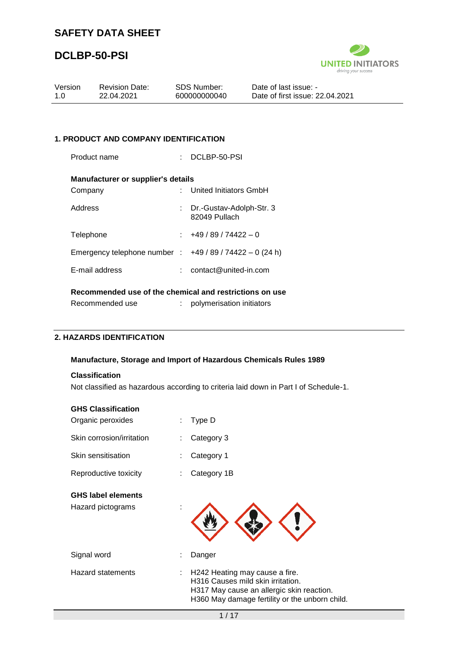### **DCLBP-50-PSI**



| Date of first issue: 22.04.2021<br>1.0<br>22.04.2021<br>600000000040 |  |
|----------------------------------------------------------------------|--|
|                                                                      |  |

#### **1. PRODUCT AND COMPANY IDENTIFICATION**

| Product name                                           |  | DCLBP-50-PSI                                |  |  |  |  |  |  |  |
|--------------------------------------------------------|--|---------------------------------------------|--|--|--|--|--|--|--|
| <b>Manufacturer or supplier's details</b>              |  |                                             |  |  |  |  |  |  |  |
| Company                                                |  | United Initiators GmbH                      |  |  |  |  |  |  |  |
| Address                                                |  | : Dr.-Gustav-Adolph-Str. 3<br>82049 Pullach |  |  |  |  |  |  |  |
| Telephone                                              |  | $\div$ +49 / 89 / 74422 - 0                 |  |  |  |  |  |  |  |
| Emergency telephone number : $+49/89/74422 - 0$ (24 h) |  |                                             |  |  |  |  |  |  |  |
| E-mail address                                         |  | $:$ contact@united-in.com                   |  |  |  |  |  |  |  |
| Desammended use of the chamical and restrictions on us |  |                                             |  |  |  |  |  |  |  |

#### **Recommended use of the chemical and restrictions on use**

| Recommended use | polymerisation initiators |  |
|-----------------|---------------------------|--|
|-----------------|---------------------------|--|

#### **2. HAZARDS IDENTIFICATION**

#### **Manufacture, Storage and Import of Hazardous Chemicals Rules 1989**

#### **Classification**

Not classified as hazardous according to criteria laid down in Part I of Schedule-1.

| <b>GHS Classification</b><br>Organic peroxides | ÷ | Type D                                                                                                                                                        |
|------------------------------------------------|---|---------------------------------------------------------------------------------------------------------------------------------------------------------------|
| Skin corrosion/irritation                      |   | Category 3                                                                                                                                                    |
| Skin sensitisation                             |   | Category 1                                                                                                                                                    |
| Reproductive toxicity                          |   | Category 1B                                                                                                                                                   |
| <b>GHS label elements</b><br>Hazard pictograms |   |                                                                                                                                                               |
| Signal word                                    |   | Danger                                                                                                                                                        |
| <b>Hazard statements</b>                       | ÷ | H242 Heating may cause a fire.<br>H316 Causes mild skin irritation.<br>H317 May cause an allergic skin reaction.<br>H360 May damage fertility or the unborn o |

child.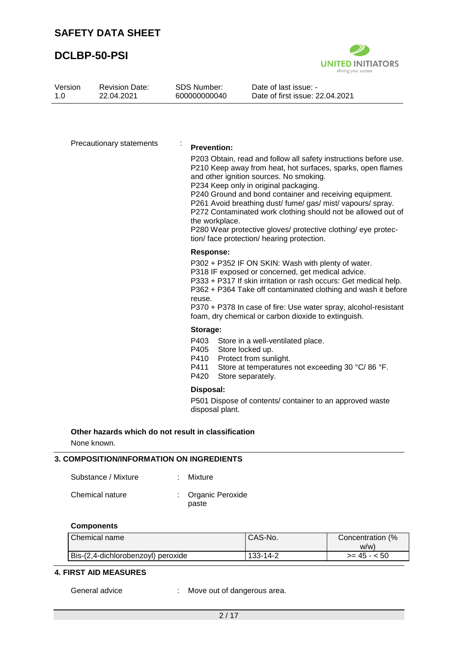

| Version<br>1.0 | <b>Revision Date:</b><br>22.04.2021                                |   | <b>SDS Number:</b><br>600000000040               | Date of last issue: -<br>Date of first issue: 22.04.2021                                                                                                                                                                                                                                                                                                                                                                                                                                                                     |
|----------------|--------------------------------------------------------------------|---|--------------------------------------------------|------------------------------------------------------------------------------------------------------------------------------------------------------------------------------------------------------------------------------------------------------------------------------------------------------------------------------------------------------------------------------------------------------------------------------------------------------------------------------------------------------------------------------|
|                |                                                                    |   |                                                  |                                                                                                                                                                                                                                                                                                                                                                                                                                                                                                                              |
|                | Precautionary statements                                           | ÷ | <b>Prevention:</b><br>the workplace.             | P203 Obtain, read and follow all safety instructions before use.<br>P210 Keep away from heat, hot surfaces, sparks, open flames<br>and other ignition sources. No smoking.<br>P234 Keep only in original packaging.<br>P240 Ground and bond container and receiving equipment.<br>P261 Avoid breathing dust/ fume/ gas/ mist/ vapours/ spray.<br>P272 Contaminated work clothing should not be allowed out of<br>P280 Wear protective gloves/ protective clothing/ eye protec-<br>tion/ face protection/ hearing protection. |
|                |                                                                    |   | <b>Response:</b><br>reuse.                       | P302 + P352 IF ON SKIN: Wash with plenty of water.<br>P318 IF exposed or concerned, get medical advice.<br>P333 + P317 If skin irritation or rash occurs: Get medical help.<br>P362 + P364 Take off contaminated clothing and wash it before<br>P370 + P378 In case of fire: Use water spray, alcohol-resistant<br>foam, dry chemical or carbon dioxide to extinguish.                                                                                                                                                       |
|                |                                                                    |   | Storage:<br>P403<br>P405<br>P410<br>P411<br>P420 | Store in a well-ventilated place.<br>Store locked up.<br>Protect from sunlight.<br>Store at temperatures not exceeding 30 °C/86 °F.<br>Store separately.                                                                                                                                                                                                                                                                                                                                                                     |
|                |                                                                    |   | Disposal:<br>disposal plant.                     | P501 Dispose of contents/ container to an approved waste                                                                                                                                                                                                                                                                                                                                                                                                                                                                     |
|                | Other hazards which do not result in classification<br>None known. |   |                                                  |                                                                                                                                                                                                                                                                                                                                                                                                                                                                                                                              |
|                | 3. COMPOSITION/INFORMATION ON INGREDIENTS                          |   |                                                  |                                                                                                                                                                                                                                                                                                                                                                                                                                                                                                                              |
|                | Substance / Mixture                                                |   | <b>Mixture</b>                                   |                                                                                                                                                                                                                                                                                                                                                                                                                                                                                                                              |
|                | Chemical nature                                                    |   | Organic Peroxide<br>paste                        |                                                                                                                                                                                                                                                                                                                                                                                                                                                                                                                              |
|                | <b>Components</b>                                                  |   |                                                  |                                                                                                                                                                                                                                                                                                                                                                                                                                                                                                                              |

| Chemical name                      | CAS-No.  | Concentration (%<br>W/W |
|------------------------------------|----------|-------------------------|
| Bis-(2,4-dichlorobenzoyl) peroxide | 133-14-2 | $>= 45 - 50$            |

#### **4. FIRST AID MEASURES**

General advice : Move out of dangerous area.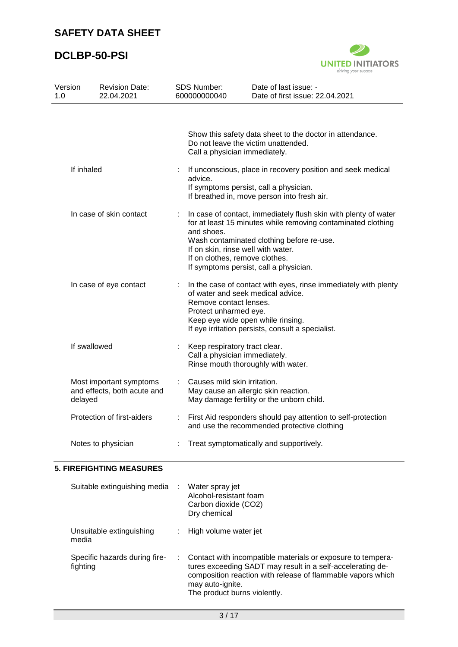

| Version<br>1.0 |                        | <b>Revision Date:</b><br>22.04.2021                    |    | <b>SDS Number:</b><br>600000000040                                                                                                                                                                                                                | Date of last issue: -<br>Date of first issue: 22.04.2021                                                                                                                                                               |
|----------------|------------------------|--------------------------------------------------------|----|---------------------------------------------------------------------------------------------------------------------------------------------------------------------------------------------------------------------------------------------------|------------------------------------------------------------------------------------------------------------------------------------------------------------------------------------------------------------------------|
|                |                        |                                                        |    |                                                                                                                                                                                                                                                   |                                                                                                                                                                                                                        |
|                |                        |                                                        |    | Do not leave the victim unattended.<br>Call a physician immediately.                                                                                                                                                                              | Show this safety data sheet to the doctor in attendance.                                                                                                                                                               |
|                | If inhaled             |                                                        |    | advice.                                                                                                                                                                                                                                           | If unconscious, place in recovery position and seek medical<br>If symptoms persist, call a physician.<br>If breathed in, move person into fresh air.                                                                   |
|                |                        | In case of skin contact                                | ÷  | and shoes.<br>If on skin, rinse well with water.<br>If on clothes, remove clothes.                                                                                                                                                                | In case of contact, immediately flush skin with plenty of water<br>for at least 15 minutes while removing contaminated clothing<br>Wash contaminated clothing before re-use.<br>If symptoms persist, call a physician. |
|                | In case of eye contact |                                                        | ÷  | In the case of contact with eyes, rinse immediately with plenty<br>of water and seek medical advice.<br>Remove contact lenses.<br>Protect unharmed eye.<br>Keep eye wide open while rinsing.<br>If eye irritation persists, consult a specialist. |                                                                                                                                                                                                                        |
|                | If swallowed           |                                                        |    | Keep respiratory tract clear.<br>Call a physician immediately.<br>Rinse mouth thoroughly with water.                                                                                                                                              |                                                                                                                                                                                                                        |
|                | delayed                | Most important symptoms<br>and effects, both acute and | t. | Causes mild skin irritation.<br>May cause an allergic skin reaction.                                                                                                                                                                              | May damage fertility or the unborn child.                                                                                                                                                                              |
|                |                        | Protection of first-aiders                             |    |                                                                                                                                                                                                                                                   | First Aid responders should pay attention to self-protection<br>and use the recommended protective clothing                                                                                                            |
|                |                        | Notes to physician                                     |    |                                                                                                                                                                                                                                                   | Treat symptomatically and supportively.                                                                                                                                                                                |
|                |                        | <b>5. FIREFIGHTING MEASURES</b>                        |    |                                                                                                                                                                                                                                                   |                                                                                                                                                                                                                        |
|                |                        | Suitable extinguishing media                           |    | Water spray jet<br>Alcohol-resistant foam<br>Carbon dioxide (CO2)<br>Dry chemical                                                                                                                                                                 |                                                                                                                                                                                                                        |
|                | media                  | Unsuitable extinguishing                               |    | High volume water jet                                                                                                                                                                                                                             |                                                                                                                                                                                                                        |
|                | fighting               | Specific hazards during fire-                          |    | may auto-ignite.                                                                                                                                                                                                                                  | Contact with incompatible materials or exposure to tempera-<br>tures exceeding SADT may result in a self-accelerating de-<br>composition reaction with release of flammable vapors which                               |

The product burns violently.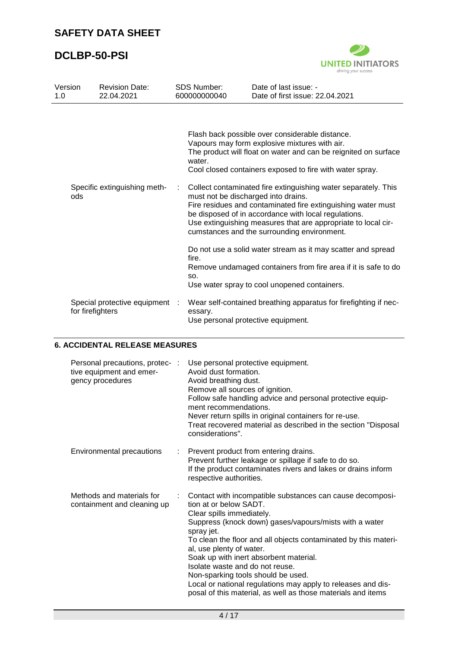

| Version<br>1.0 |     | <b>Revision Date:</b><br>22.04.2021                |   | <b>SDS Number:</b><br>600000000040            | Date of last issue: -<br>Date of first issue: 22.04.2021                                                                                                                                                                                                                                                                                                                                                                                                                                                                                  |
|----------------|-----|----------------------------------------------------|---|-----------------------------------------------|-------------------------------------------------------------------------------------------------------------------------------------------------------------------------------------------------------------------------------------------------------------------------------------------------------------------------------------------------------------------------------------------------------------------------------------------------------------------------------------------------------------------------------------------|
|                | ods | Specific extinguishing meth-                       | ÷ | water.<br>must not be discharged into drains. | Flash back possible over considerable distance.<br>Vapours may form explosive mixtures with air.<br>The product will float on water and can be reignited on surface<br>Cool closed containers exposed to fire with water spray.<br>Collect contaminated fire extinguishing water separately. This<br>Fire residues and contaminated fire extinguishing water must<br>be disposed of in accordance with local regulations.<br>Use extinguishing measures that are appropriate to local cir-<br>cumstances and the surrounding environment. |
|                |     |                                                    |   | fire.<br>SO.                                  | Do not use a solid water stream as it may scatter and spread<br>Remove undamaged containers from fire area if it is safe to do<br>Use water spray to cool unopened containers.                                                                                                                                                                                                                                                                                                                                                            |
|                |     | Special protective equipment :<br>for firefighters |   | essary.                                       | Wear self-contained breathing apparatus for firefighting if nec-<br>Use personal protective equipment.                                                                                                                                                                                                                                                                                                                                                                                                                                    |

### **6. ACCIDENTAL RELEASE MEASURES**

| Personal precautions, protec- :<br>tive equipment and emer-<br>gency procedures | Use personal protective equipment.<br>Avoid dust formation.<br>Avoid breathing dust.<br>Remove all sources of ignition.<br>Follow safe handling advice and personal protective equip-<br>ment recommendations.<br>Never return spills in original containers for re-use.<br>Treat recovered material as described in the section "Disposal<br>considerations".                                                                                                                                                                             |
|---------------------------------------------------------------------------------|--------------------------------------------------------------------------------------------------------------------------------------------------------------------------------------------------------------------------------------------------------------------------------------------------------------------------------------------------------------------------------------------------------------------------------------------------------------------------------------------------------------------------------------------|
| Environmental precautions                                                       | Prevent product from entering drains.<br>Prevent further leakage or spillage if safe to do so.<br>If the product contaminates rivers and lakes or drains inform<br>respective authorities.                                                                                                                                                                                                                                                                                                                                                 |
| Methods and materials for<br>containment and cleaning up                        | Contact with incompatible substances can cause decomposi-<br>tion at or below SADT.<br>Clear spills immediately.<br>Suppress (knock down) gases/vapours/mists with a water<br>spray jet.<br>To clean the floor and all objects contaminated by this materi-<br>al, use plenty of water.<br>Soak up with inert absorbent material.<br>Isolate waste and do not reuse.<br>Non-sparking tools should be used.<br>Local or national regulations may apply to releases and dis-<br>posal of this material, as well as those materials and items |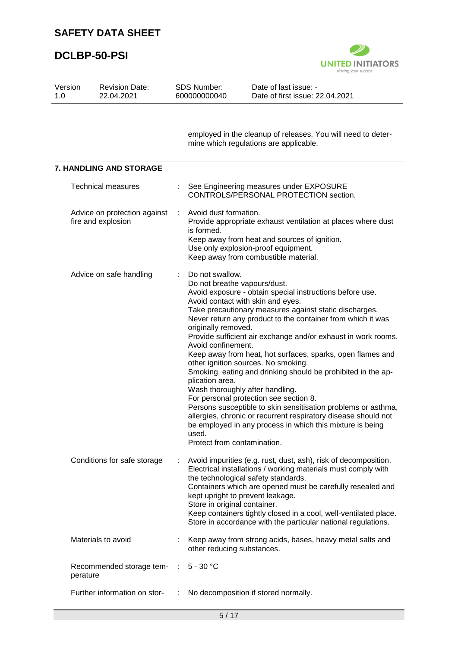

| Version<br>1.0 | <b>Revision Date:</b><br>22.04.2021                |   | SDS Number:<br>600000000040                                                                                                                             | Date of last issue: -<br>Date of first issue: 22.04.2021                                                                                                                                                                                                                                                                                                                                                                                                                                                                                                                                                                                                                                                                                  |
|----------------|----------------------------------------------------|---|---------------------------------------------------------------------------------------------------------------------------------------------------------|-------------------------------------------------------------------------------------------------------------------------------------------------------------------------------------------------------------------------------------------------------------------------------------------------------------------------------------------------------------------------------------------------------------------------------------------------------------------------------------------------------------------------------------------------------------------------------------------------------------------------------------------------------------------------------------------------------------------------------------------|
|                |                                                    |   |                                                                                                                                                         | employed in the cleanup of releases. You will need to deter-<br>mine which regulations are applicable.                                                                                                                                                                                                                                                                                                                                                                                                                                                                                                                                                                                                                                    |
|                | <b>7. HANDLING AND STORAGE</b>                     |   |                                                                                                                                                         |                                                                                                                                                                                                                                                                                                                                                                                                                                                                                                                                                                                                                                                                                                                                           |
|                | <b>Technical measures</b>                          |   |                                                                                                                                                         | See Engineering measures under EXPOSURE<br>CONTROLS/PERSONAL PROTECTION section.                                                                                                                                                                                                                                                                                                                                                                                                                                                                                                                                                                                                                                                          |
|                | Advice on protection against<br>fire and explosion | ÷ | Avoid dust formation.<br>is formed.                                                                                                                     | Provide appropriate exhaust ventilation at places where dust<br>Keep away from heat and sources of ignition.<br>Use only explosion-proof equipment.<br>Keep away from combustible material.                                                                                                                                                                                                                                                                                                                                                                                                                                                                                                                                               |
|                | Advice on safe handling                            |   | Do not swallow.<br>Do not breathe vapours/dust.<br>originally removed.<br>Avoid confinement.<br>plication area.<br>used.<br>Protect from contamination. | Avoid exposure - obtain special instructions before use.<br>Avoid contact with skin and eyes.<br>Take precautionary measures against static discharges.<br>Never return any product to the container from which it was<br>Provide sufficient air exchange and/or exhaust in work rooms.<br>Keep away from heat, hot surfaces, sparks, open flames and<br>other ignition sources. No smoking.<br>Smoking, eating and drinking should be prohibited in the ap-<br>Wash thoroughly after handling.<br>For personal protection see section 8.<br>Persons susceptible to skin sensitisation problems or asthma,<br>allergies, chronic or recurrent respiratory disease should not<br>be employed in any process in which this mixture is being |
|                | Conditions for safe storage                        |   | Store in original container.                                                                                                                            | Avoid impurities (e.g. rust, dust, ash), risk of decomposition.<br>Electrical installations / working materials must comply with<br>the technological safety standards.<br>Containers which are opened must be carefully resealed and<br>kept upright to prevent leakage.<br>Keep containers tightly closed in a cool, well-ventilated place.<br>Store in accordance with the particular national regulations.                                                                                                                                                                                                                                                                                                                            |
|                | Materials to avoid                                 |   | other reducing substances.                                                                                                                              | Keep away from strong acids, bases, heavy metal salts and                                                                                                                                                                                                                                                                                                                                                                                                                                                                                                                                                                                                                                                                                 |
| perature       | Recommended storage tem-                           | ÷ | $5 - 30 °C$                                                                                                                                             |                                                                                                                                                                                                                                                                                                                                                                                                                                                                                                                                                                                                                                                                                                                                           |
|                | Further information on stor-                       |   |                                                                                                                                                         | No decomposition if stored normally.                                                                                                                                                                                                                                                                                                                                                                                                                                                                                                                                                                                                                                                                                                      |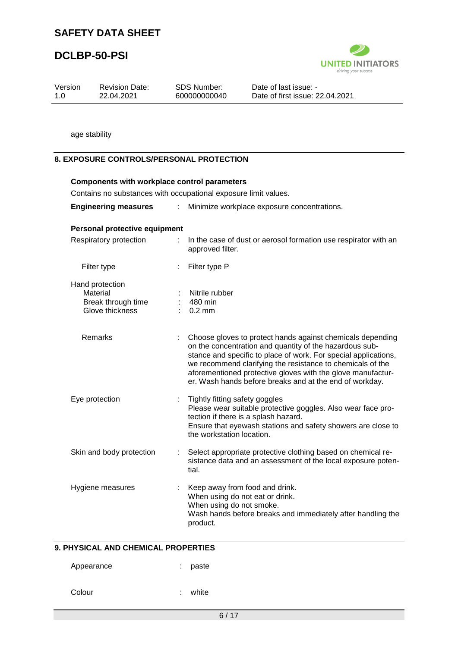### **DCLBP-50-PSI**



|                |                                                                      |    |                                                             | driving your success                                                                                                                                                                                                                                                                                                                                                             |
|----------------|----------------------------------------------------------------------|----|-------------------------------------------------------------|----------------------------------------------------------------------------------------------------------------------------------------------------------------------------------------------------------------------------------------------------------------------------------------------------------------------------------------------------------------------------------|
| Version<br>1.0 | <b>Revision Date:</b><br>22.04.2021                                  |    | <b>SDS Number:</b><br>600000000040                          | Date of last issue: -<br>Date of first issue: 22.04.2021                                                                                                                                                                                                                                                                                                                         |
|                |                                                                      |    |                                                             |                                                                                                                                                                                                                                                                                                                                                                                  |
|                | age stability                                                        |    |                                                             |                                                                                                                                                                                                                                                                                                                                                                                  |
|                | <b>8. EXPOSURE CONTROLS/PERSONAL PROTECTION</b>                      |    |                                                             |                                                                                                                                                                                                                                                                                                                                                                                  |
|                | <b>Components with workplace control parameters</b>                  |    |                                                             |                                                                                                                                                                                                                                                                                                                                                                                  |
|                | Contains no substances with occupational exposure limit values.      |    |                                                             |                                                                                                                                                                                                                                                                                                                                                                                  |
|                | <b>Engineering measures</b>                                          | ÷. |                                                             | Minimize workplace exposure concentrations.                                                                                                                                                                                                                                                                                                                                      |
|                | Personal protective equipment                                        |    |                                                             |                                                                                                                                                                                                                                                                                                                                                                                  |
|                | Respiratory protection                                               | ÷. | approved filter.                                            | In the case of dust or aerosol formation use respirator with an                                                                                                                                                                                                                                                                                                                  |
|                | Filter type                                                          |    | Filter type P                                               |                                                                                                                                                                                                                                                                                                                                                                                  |
|                | Hand protection<br>Material<br>Break through time<br>Glove thickness |    | Nitrile rubber<br>480 min<br>$0.2$ mm                       |                                                                                                                                                                                                                                                                                                                                                                                  |
|                | Remarks                                                              |    |                                                             | Choose gloves to protect hands against chemicals depending<br>on the concentration and quantity of the hazardous sub-<br>stance and specific to place of work. For special applications,<br>we recommend clarifying the resistance to chemicals of the<br>aforementioned protective gloves with the glove manufactur-<br>er. Wash hands before breaks and at the end of workday. |
|                | Eye protection                                                       |    | Tightly fitting safety goggles<br>the workstation location. | Please wear suitable protective goggles. Also wear face pro-<br>tection if there is a splash hazard.<br>Ensure that eyewash stations and safety showers are close to                                                                                                                                                                                                             |
|                | Skin and body protection                                             |    | tial.                                                       | Select appropriate protective clothing based on chemical re-<br>sistance data and an assessment of the local exposure poten-                                                                                                                                                                                                                                                     |
|                | Hygiene measures                                                     |    | When using do not smoke.<br>product.                        | Keep away from food and drink.<br>When using do not eat or drink.<br>Wash hands before breaks and immediately after handling the                                                                                                                                                                                                                                                 |

### **9. PHYSICAL AND CHEMICAL PROPERTIES**

| Appearance |  | paste |
|------------|--|-------|
|------------|--|-------|

Colour : white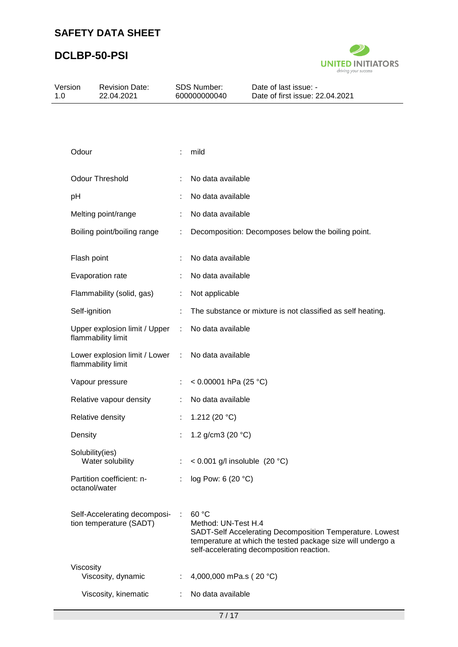

|                                    |                  | Date of last issue: -<br>Date of first issue: 22.04.2021                                                                                                                                                                                                                                                                                                                            |
|------------------------------------|------------------|-------------------------------------------------------------------------------------------------------------------------------------------------------------------------------------------------------------------------------------------------------------------------------------------------------------------------------------------------------------------------------------|
|                                    |                  |                                                                                                                                                                                                                                                                                                                                                                                     |
|                                    |                  |                                                                                                                                                                                                                                                                                                                                                                                     |
|                                    | mild             |                                                                                                                                                                                                                                                                                                                                                                                     |
|                                    |                  |                                                                                                                                                                                                                                                                                                                                                                                     |
| ÷                                  |                  |                                                                                                                                                                                                                                                                                                                                                                                     |
|                                    |                  |                                                                                                                                                                                                                                                                                                                                                                                     |
|                                    |                  | Decomposition: Decomposes below the boiling point.                                                                                                                                                                                                                                                                                                                                  |
|                                    |                  |                                                                                                                                                                                                                                                                                                                                                                                     |
|                                    |                  |                                                                                                                                                                                                                                                                                                                                                                                     |
|                                    | Not applicable   |                                                                                                                                                                                                                                                                                                                                                                                     |
|                                    |                  | The substance or mixture is not classified as self heating.                                                                                                                                                                                                                                                                                                                         |
| Upper explosion limit / Upper<br>t |                  |                                                                                                                                                                                                                                                                                                                                                                                     |
| Lower explosion limit / Lower<br>÷ |                  |                                                                                                                                                                                                                                                                                                                                                                                     |
|                                    |                  |                                                                                                                                                                                                                                                                                                                                                                                     |
|                                    |                  |                                                                                                                                                                                                                                                                                                                                                                                     |
|                                    | 1.212 (20 $°C$ ) |                                                                                                                                                                                                                                                                                                                                                                                     |
|                                    |                  |                                                                                                                                                                                                                                                                                                                                                                                     |
|                                    |                  |                                                                                                                                                                                                                                                                                                                                                                                     |
|                                    |                  |                                                                                                                                                                                                                                                                                                                                                                                     |
| Self-Accelerating decomposi-       | 60 °C            | SADT-Self Accelerating Decomposition Temperature. Lowest<br>temperature at which the tested package size will undergo a<br>self-accelerating decomposition reaction.                                                                                                                                                                                                                |
|                                    |                  |                                                                                                                                                                                                                                                                                                                                                                                     |
|                                    |                  |                                                                                                                                                                                                                                                                                                                                                                                     |
|                                    |                  | SDS Number:<br>600000000040<br>No data available<br>No data available<br>No data available<br>No data available<br>No data available<br>No data available<br>No data available<br>< $0.00001$ hPa (25 °C)<br>No data available<br>1.2 g/cm3 (20 °C)<br>< $0.001$ g/l insoluble (20 °C)<br>log Pow: 6 (20 °C)<br>Method: UN-Test H.4<br>4,000,000 mPa.s (20 °C)<br>No data available |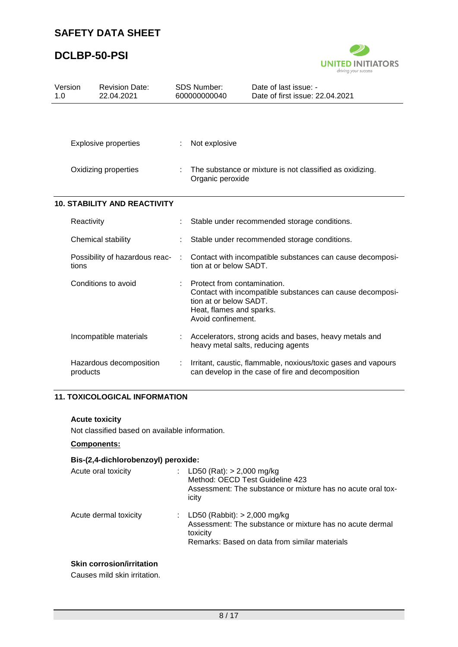### **DCLBP-50-PSI**



| Version<br>1.0 |                      | <b>Revision Date:</b><br>22.04.2021 | <b>SDS Number:</b><br>600000000040 |                                                                                                         | Date of last issue: -<br>Date of first issue: 22.04.2021                                                           |  |
|----------------|----------------------|-------------------------------------|------------------------------------|---------------------------------------------------------------------------------------------------------|--------------------------------------------------------------------------------------------------------------------|--|
|                |                      |                                     |                                    |                                                                                                         |                                                                                                                    |  |
|                |                      | <b>Explosive properties</b>         |                                    | Not explosive                                                                                           |                                                                                                                    |  |
|                | Oxidizing properties |                                     |                                    | The substance or mixture is not classified as oxidizing.<br>Organic peroxide                            |                                                                                                                    |  |
|                |                      | <b>10. STABILITY AND REACTIVITY</b> |                                    |                                                                                                         |                                                                                                                    |  |
|                | Reactivity           |                                     |                                    |                                                                                                         | Stable under recommended storage conditions.                                                                       |  |
|                |                      | Chemical stability                  |                                    |                                                                                                         | Stable under recommended storage conditions.                                                                       |  |
|                | tions                | Possibility of hazardous reac-      | ÷                                  | tion at or below SADT.                                                                                  | Contact with incompatible substances can cause decomposi-                                                          |  |
|                |                      | Conditions to avoid                 |                                    | Protect from contamination.<br>tion at or below SADT.<br>Heat, flames and sparks.<br>Avoid confinement. | Contact with incompatible substances can cause decomposi-                                                          |  |
|                |                      | Incompatible materials              |                                    |                                                                                                         | Accelerators, strong acids and bases, heavy metals and<br>heavy metal salts, reducing agents                       |  |
|                | products             | Hazardous decomposition             | ÷                                  |                                                                                                         | Irritant, caustic, flammable, noxious/toxic gases and vapours<br>can develop in the case of fire and decomposition |  |

### **11. TOXICOLOGICAL INFORMATION**

#### **Acute toxicity**

Not classified based on available information.

### **Components:**

### **Bis-(2,4-dichlorobenzoyl) peroxide:**

| Acute oral toxicity   | : LD50 (Rat): $> 2,000$ mg/kg<br>Method: OECD Test Guideline 423<br>Assessment: The substance or mixture has no acute oral tox-<br>icity                  |
|-----------------------|-----------------------------------------------------------------------------------------------------------------------------------------------------------|
| Acute dermal toxicity | : LD50 (Rabbit): $> 2,000$ mg/kg<br>Assessment: The substance or mixture has no acute dermal<br>toxicity<br>Remarks: Based on data from similar materials |

#### **Skin corrosion/irritation**

Causes mild skin irritation.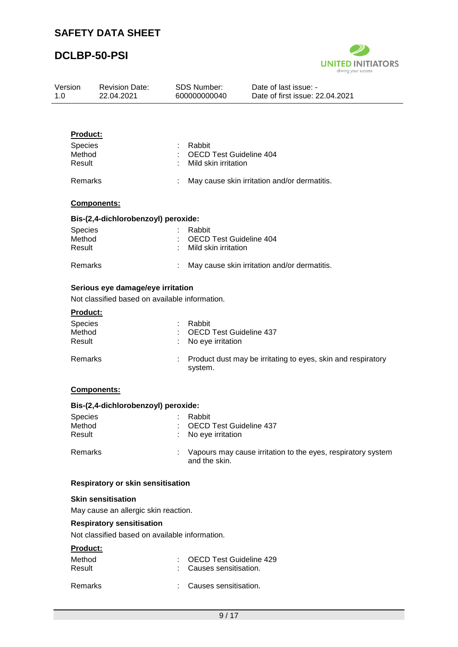

| Version<br>1.0 |                                                | <b>Revision Date:</b><br>22.04.2021                                                 | <b>SDS Number:</b><br>600000000040                               | Date of last issue: -<br>Date of first issue: 22.04.2021     |
|----------------|------------------------------------------------|-------------------------------------------------------------------------------------|------------------------------------------------------------------|--------------------------------------------------------------|
|                |                                                |                                                                                     |                                                                  |                                                              |
|                | <b>Product:</b><br>Species<br>Method<br>Result |                                                                                     | Rabbit<br><b>OECD Test Guideline 404</b><br>Mild skin irritation |                                                              |
|                | Remarks                                        |                                                                                     |                                                                  | May cause skin irritation and/or dermatitis.                 |
|                |                                                | Components:                                                                         |                                                                  |                                                              |
|                |                                                |                                                                                     |                                                                  |                                                              |
|                | <b>Species</b><br>Method<br>Result             | Bis-(2,4-dichlorobenzoyl) peroxide:                                                 | Rabbit<br><b>OECD Test Guideline 404</b><br>Mild skin irritation |                                                              |
|                | Remarks                                        |                                                                                     |                                                                  | May cause skin irritation and/or dermatitis.                 |
|                |                                                | Serious eye damage/eye irritation<br>Not classified based on available information. |                                                                  |                                                              |
|                | Product:                                       |                                                                                     |                                                                  |                                                              |
|                | <b>Species</b><br>Method<br>Result             |                                                                                     | Rabbit<br><b>OECD Test Guideline 437</b><br>No eye irritation    |                                                              |
|                | Remarks                                        |                                                                                     | system.                                                          | Product dust may be irritating to eyes, skin and respiratory |
|                |                                                | Components:                                                                         |                                                                  |                                                              |
|                |                                                | Bis-(2,4-dichlorobenzoyl) peroxide:                                                 |                                                                  |                                                              |
|                | <b>Species</b><br>Method<br>Result             |                                                                                     | Rabbit<br>OECD Test Guideline 437<br>No eye irritation           |                                                              |
|                | Remarks                                        |                                                                                     | and the skin.                                                    | Vapours may cause irritation to the eyes, respiratory system |
|                |                                                | Respiratory or skin sensitisation                                                   |                                                                  |                                                              |
|                |                                                | <b>Skin sensitisation</b>                                                           |                                                                  |                                                              |
|                |                                                | May cause an allergic skin reaction.                                                |                                                                  |                                                              |
|                |                                                | <b>Respiratory sensitisation</b><br>Not classified based on available information.  |                                                                  |                                                              |
|                | Product:                                       |                                                                                     |                                                                  |                                                              |
|                | Method<br>Result                               |                                                                                     | <b>OECD Test Guideline 429</b><br>Causes sensitisation.          |                                                              |

Remarks : Causes sensitisation.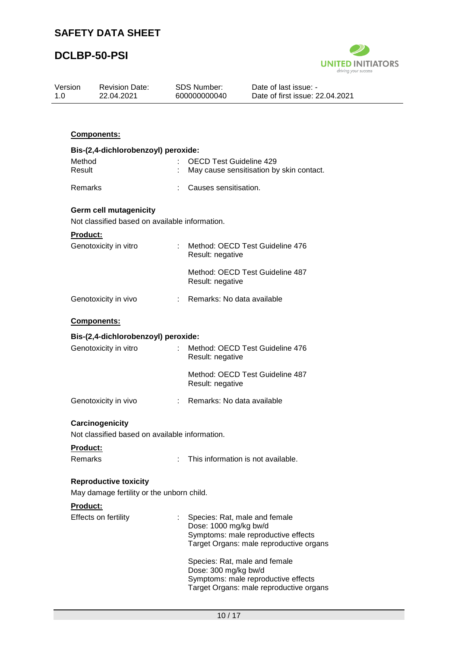

| Version<br>1.0             | <b>Revision Date:</b><br>22.04.2021                                             | <b>SDS Number:</b><br>600000000040 | Date of last issue: -<br>Date of first issue: 22.04.2021                                                                                 |
|----------------------------|---------------------------------------------------------------------------------|------------------------------------|------------------------------------------------------------------------------------------------------------------------------------------|
|                            |                                                                                 |                                    |                                                                                                                                          |
|                            | Components:                                                                     |                                    |                                                                                                                                          |
|                            | Bis-(2,4-dichlorobenzoyl) peroxide:                                             |                                    |                                                                                                                                          |
| Method<br>Result           |                                                                                 |                                    | <b>OECD Test Guideline 429</b><br>May cause sensitisation by skin contact.                                                               |
| Remarks                    |                                                                                 |                                    | Causes sensitisation.                                                                                                                    |
|                            | <b>Germ cell mutagenicity</b><br>Not classified based on available information. |                                    |                                                                                                                                          |
| <b>Product:</b>            |                                                                                 |                                    |                                                                                                                                          |
|                            | Genotoxicity in vitro                                                           | Result: negative                   | Method: OECD Test Guideline 476                                                                                                          |
|                            |                                                                                 | Result: negative                   | Method: OECD Test Guideline 487                                                                                                          |
|                            | Genotoxicity in vivo                                                            |                                    | : Remarks: No data available                                                                                                             |
|                            | <b>Components:</b>                                                              |                                    |                                                                                                                                          |
|                            | Bis-(2,4-dichlorobenzoyl) peroxide:                                             |                                    |                                                                                                                                          |
|                            | Genotoxicity in vitro                                                           | Result: negative                   | Method: OECD Test Guideline 476                                                                                                          |
|                            |                                                                                 | Result: negative                   | Method: OECD Test Guideline 487                                                                                                          |
|                            | Genotoxicity in vivo                                                            |                                    | Remarks: No data available                                                                                                               |
|                            | Carcinogenicity                                                                 |                                    |                                                                                                                                          |
|                            | Not classified based on available information.                                  |                                    |                                                                                                                                          |
| Product:<br><b>Remarks</b> |                                                                                 | ÷.                                 | This information is not available.                                                                                                       |
|                            | <b>Reproductive toxicity</b>                                                    |                                    |                                                                                                                                          |
|                            | May damage fertility or the unborn child.                                       |                                    |                                                                                                                                          |
| Product:                   | Effects on fertility                                                            |                                    | Species: Rat, male and female<br>Dose: 1000 mg/kg bw/d<br>Symptoms: male reproductive effects<br>Target Organs: male reproductive organs |
|                            |                                                                                 |                                    | Species: Rat, male and female<br>Dose: 300 mg/kg bw/d<br>Symptoms: male reproductive effects<br>Target Organs: male reproductive organs  |
|                            |                                                                                 |                                    |                                                                                                                                          |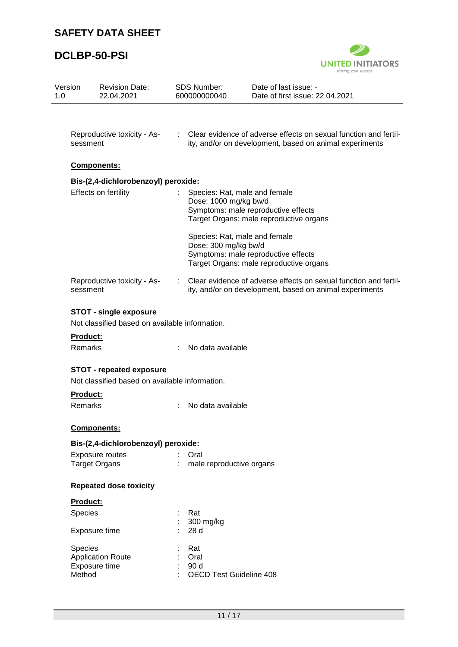

| Version<br>1.0 | <b>Revision Date:</b><br>22.04.2021                                               | <b>SDS Number:</b><br>600000000040 |                                                                                                                                          | Date of last issue: -<br>Date of first issue: 22.04.2021                                                                    |  |  |  |
|----------------|-----------------------------------------------------------------------------------|------------------------------------|------------------------------------------------------------------------------------------------------------------------------------------|-----------------------------------------------------------------------------------------------------------------------------|--|--|--|
|                |                                                                                   |                                    |                                                                                                                                          |                                                                                                                             |  |  |  |
|                | Reproductive toxicity - As-<br>sessment                                           | $\mathcal{L}^{\text{max}}$         |                                                                                                                                          | Clear evidence of adverse effects on sexual function and fertil-<br>ity, and/or on development, based on animal experiments |  |  |  |
|                | Components:                                                                       |                                    |                                                                                                                                          |                                                                                                                             |  |  |  |
|                | Bis-(2,4-dichlorobenzoyl) peroxide:                                               |                                    |                                                                                                                                          |                                                                                                                             |  |  |  |
|                | Effects on fertility                                                              | ÷                                  | Species: Rat, male and female<br>Dose: 1000 mg/kg bw/d<br>Symptoms: male reproductive effects<br>Target Organs: male reproductive organs |                                                                                                                             |  |  |  |
|                |                                                                                   |                                    | Species: Rat, male and female<br>Dose: 300 mg/kg bw/d                                                                                    | Symptoms: male reproductive effects<br>Target Organs: male reproductive organs                                              |  |  |  |
|                | Reproductive toxicity - As-<br>sessment                                           |                                    |                                                                                                                                          | Clear evidence of adverse effects on sexual function and fertil-<br>ity, and/or on development, based on animal experiments |  |  |  |
|                | <b>STOT - single exposure</b><br>Not classified based on available information.   |                                    |                                                                                                                                          |                                                                                                                             |  |  |  |
|                | Product:                                                                          |                                    |                                                                                                                                          |                                                                                                                             |  |  |  |
|                | Remarks                                                                           |                                    | No data available                                                                                                                        |                                                                                                                             |  |  |  |
|                | <b>STOT - repeated exposure</b><br>Not classified based on available information. |                                    |                                                                                                                                          |                                                                                                                             |  |  |  |
|                | Product:                                                                          |                                    |                                                                                                                                          |                                                                                                                             |  |  |  |
|                | Remarks                                                                           |                                    | No data available                                                                                                                        |                                                                                                                             |  |  |  |
|                | Components:                                                                       |                                    |                                                                                                                                          |                                                                                                                             |  |  |  |
|                | Bis-(2,4-dichlorobenzoyl) peroxide:                                               |                                    |                                                                                                                                          |                                                                                                                             |  |  |  |
|                | Exposure routes<br><b>Target Organs</b>                                           |                                    | Oral<br>male reproductive organs                                                                                                         |                                                                                                                             |  |  |  |
|                | <b>Repeated dose toxicity</b>                                                     |                                    |                                                                                                                                          |                                                                                                                             |  |  |  |
|                | <b>Product:</b>                                                                   |                                    |                                                                                                                                          |                                                                                                                             |  |  |  |
|                | Species                                                                           |                                    | Rat                                                                                                                                      |                                                                                                                             |  |  |  |
|                | Exposure time                                                                     |                                    | 300 mg/kg<br>28 d                                                                                                                        |                                                                                                                             |  |  |  |
|                | Species<br><b>Application Route</b><br>Exposure time<br>Method                    |                                    | Rat<br>Oral<br>90 d<br><b>OECD Test Guideline 408</b>                                                                                    |                                                                                                                             |  |  |  |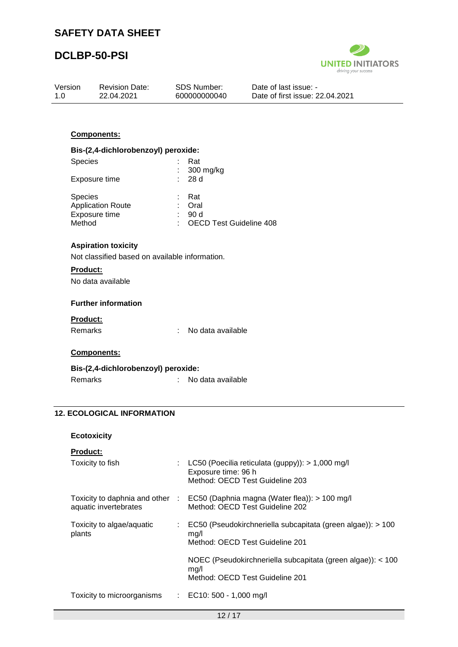

| Version<br>1.0  | <b>Revision Date:</b><br>22.04.2021                                                               |    | SDS Number:<br>600000000040    | Date of last issue: -<br>Date of first issue: 22.04.2021 |
|-----------------|---------------------------------------------------------------------------------------------------|----|--------------------------------|----------------------------------------------------------|
|                 |                                                                                                   |    |                                |                                                          |
|                 | Components:                                                                                       |    |                                |                                                          |
|                 | Bis-(2,4-dichlorobenzoyl) peroxide:                                                               |    |                                |                                                          |
| Species         |                                                                                                   |    | Rat<br>300 mg/kg               |                                                          |
|                 | Exposure time                                                                                     |    | 28 d                           |                                                          |
| Species         | <b>Application Route</b>                                                                          |    | Rat<br>Oral<br>90 d            |                                                          |
| Method          | Exposure time                                                                                     |    | <b>OECD Test Guideline 408</b> |                                                          |
| <b>Product:</b> | <b>Aspiration toxicity</b><br>Not classified based on available information.<br>No data available |    |                                |                                                          |
|                 | <b>Further information</b>                                                                        |    |                                |                                                          |
| Product:        |                                                                                                   |    |                                |                                                          |
| Remarks         |                                                                                                   | ÷  | No data available              |                                                          |
|                 | Components:                                                                                       |    |                                |                                                          |
|                 | Bis-(2,4-dichlorobenzoyl) peroxide:                                                               |    |                                |                                                          |
| Remarks         |                                                                                                   | ÷. | No data available              |                                                          |
|                 |                                                                                                   |    |                                |                                                          |

### **12. ECOLOGICAL INFORMATION**

| <b>Ecotoxicity</b> |
|--------------------|
|--------------------|

| <b>Product:</b>                                          |   |                                                                                                                |
|----------------------------------------------------------|---|----------------------------------------------------------------------------------------------------------------|
| Toxicity to fish                                         |   | : LC50 (Poecilia reticulata (guppy)): $> 1,000$ mg/l<br>Exposure time: 96 h<br>Method: OECD Test Guideline 203 |
| Toxicity to daphnia and other :<br>aquatic invertebrates |   | EC50 (Daphnia magna (Water flea)): > 100 mg/l<br>Method: OECD Test Guideline 202                               |
| Toxicity to algae/aquatic<br>plants                      | ÷ | EC50 (Pseudokirchneriella subcapitata (green algae)): > 100<br>mq/l<br>Method: OECD Test Guideline 201         |
|                                                          |   | NOEC (Pseudokirchneriella subcapitata (green algae)): < 100<br>mg/l<br>Method: OECD Test Guideline 201         |
| Toxicity to microorganisms : EC10: 500 - 1,000 mg/l      |   |                                                                                                                |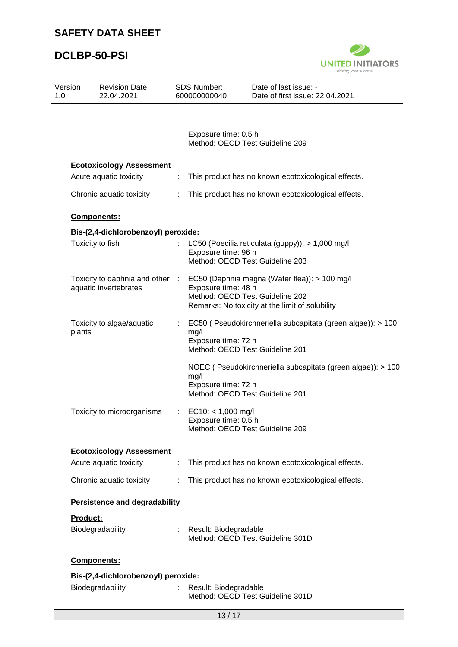

| Version<br>1.0 |                 | <b>Revision Date:</b><br>22.04.2021                      |    | <b>SDS Number:</b><br>600000000040                                              | Date of last issue: -<br>Date of first issue: 22.04.2021                                         |
|----------------|-----------------|----------------------------------------------------------|----|---------------------------------------------------------------------------------|--------------------------------------------------------------------------------------------------|
|                |                 |                                                          |    |                                                                                 |                                                                                                  |
|                |                 |                                                          |    | Exposure time: 0.5 h<br>Method: OECD Test Guideline 209                         |                                                                                                  |
|                |                 | <b>Ecotoxicology Assessment</b>                          |    |                                                                                 |                                                                                                  |
|                |                 | Acute aquatic toxicity                                   | ÷  |                                                                                 | This product has no known ecotoxicological effects.                                              |
|                |                 | Chronic aquatic toxicity                                 | ÷. |                                                                                 | This product has no known ecotoxicological effects.                                              |
|                |                 | Components:                                              |    |                                                                                 |                                                                                                  |
|                |                 | Bis-(2,4-dichlorobenzoyl) peroxide:                      |    |                                                                                 |                                                                                                  |
|                |                 | Toxicity to fish                                         |    | Exposure time: 96 h<br>Method: OECD Test Guideline 203                          | LC50 (Poecilia reticulata (guppy)): > 1,000 mg/l                                                 |
|                |                 | Toxicity to daphnia and other :<br>aquatic invertebrates |    | Exposure time: 48 h<br>Method: OECD Test Guideline 202                          | EC50 (Daphnia magna (Water flea)): > 100 mg/l<br>Remarks: No toxicity at the limit of solubility |
|                | plants          | Toxicity to algae/aquatic                                |    | mg/l<br>Exposure time: 72 h<br>Method: OECD Test Guideline 201                  | EC50 (Pseudokirchneriella subcapitata (green algae)): > 100                                      |
|                |                 |                                                          |    | mg/l<br>Exposure time: 72 h<br>Method: OECD Test Guideline 201                  | NOEC (Pseudokirchneriella subcapitata (green algae)): > 100                                      |
|                |                 | Toxicity to microorganisms                               | ÷. | $EC10: < 1,000$ mg/l<br>Exposure time: 0.5 h<br>Method: OECD Test Guideline 209 |                                                                                                  |
|                |                 | <b>Ecotoxicology Assessment</b>                          |    |                                                                                 |                                                                                                  |
|                |                 | Acute aquatic toxicity                                   | t. |                                                                                 | This product has no known ecotoxicological effects.                                              |
|                |                 | Chronic aquatic toxicity                                 | ÷. |                                                                                 | This product has no known ecotoxicological effects.                                              |
|                |                 | <b>Persistence and degradability</b>                     |    |                                                                                 |                                                                                                  |
|                | <b>Product:</b> |                                                          |    |                                                                                 |                                                                                                  |
|                |                 | Biodegradability                                         |    | Result: Biodegradable                                                           | Method: OECD Test Guideline 301D                                                                 |
|                |                 | Components:                                              |    |                                                                                 |                                                                                                  |
|                |                 | Bis-(2,4-dichlorobenzoyl) peroxide:                      |    |                                                                                 |                                                                                                  |
|                |                 | Biodegradability                                         |    | Result: Biodegradable                                                           | Method: OECD Test Guideline 301D                                                                 |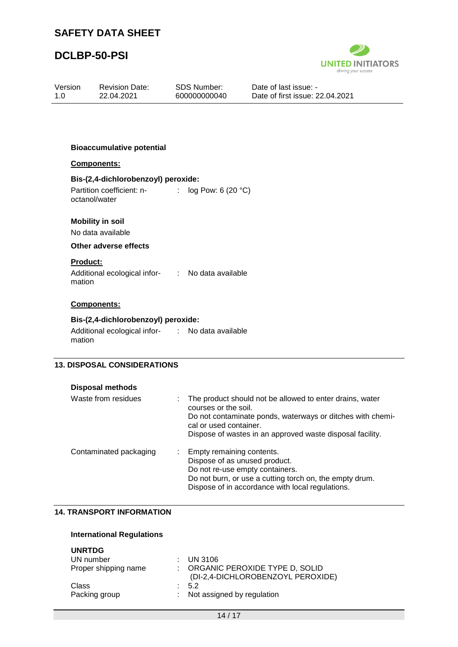

| Version<br>1.0 | <b>Revision Date:</b><br>22.04.2021              |    | <b>SDS Number:</b><br>600000000040                         | Date of last issue: -<br>Date of first issue: 22.04.2021                                                               |  |
|----------------|--------------------------------------------------|----|------------------------------------------------------------|------------------------------------------------------------------------------------------------------------------------|--|
|                |                                                  |    |                                                            |                                                                                                                        |  |
|                |                                                  |    |                                                            |                                                                                                                        |  |
|                | <b>Bioaccumulative potential</b>                 |    |                                                            |                                                                                                                        |  |
|                | Components:                                      |    |                                                            |                                                                                                                        |  |
|                | Bis-(2,4-dichlorobenzoyl) peroxide:              |    |                                                            |                                                                                                                        |  |
|                | Partition coefficient: n-<br>octanol/water       |    | : $log Pow: 6 (20 °C)$                                     |                                                                                                                        |  |
|                | <b>Mobility in soil</b>                          |    |                                                            |                                                                                                                        |  |
|                | No data available                                |    |                                                            |                                                                                                                        |  |
|                | Other adverse effects                            |    |                                                            |                                                                                                                        |  |
| Product:       |                                                  |    |                                                            |                                                                                                                        |  |
| mation         | Additional ecological infor- : No data available |    |                                                            |                                                                                                                        |  |
|                | Components:                                      |    |                                                            |                                                                                                                        |  |
|                | Bis-(2,4-dichlorobenzoyl) peroxide:              |    |                                                            |                                                                                                                        |  |
| mation         | Additional ecological infor- : No data available |    |                                                            |                                                                                                                        |  |
|                |                                                  |    |                                                            |                                                                                                                        |  |
|                | <b>13. DISPOSAL CONSIDERATIONS</b>               |    |                                                            |                                                                                                                        |  |
|                | <b>Disposal methods</b>                          |    |                                                            |                                                                                                                        |  |
|                | Waste from residues                              | ÷  | courses or the soil.<br>cal or used container.             | The product should not be allowed to enter drains, water<br>Do not contaminate ponds, waterways or ditches with chemi- |  |
|                |                                                  |    |                                                            | Dispose of wastes in an approved waste disposal facility.                                                              |  |
|                | Contaminated packaging                           | ÷. | Empty remaining contents.<br>Dispose of as unused product. |                                                                                                                        |  |

## **14. TRANSPORT INFORMATION**

#### **International Regulations**

| <b>UNRTDG</b><br>UN number<br>Proper shipping name | $\therefore$ UN 3106<br>: ORGANIC PEROXIDE TYPE D, SOLID<br>(DI-2,4-DICHLOROBENZOYL PEROXIDE) |
|----------------------------------------------------|-----------------------------------------------------------------------------------------------|
| Class<br>Packing group                             | 5.2<br>: Not assigned by regulation                                                           |

Do not re-use empty containers.

Do not burn, or use a cutting torch on, the empty drum. Dispose of in accordance with local regulations.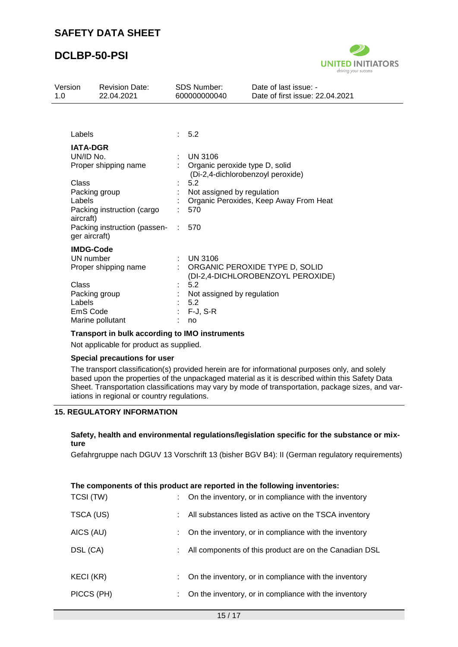

| Version<br>1.0 |                      | <b>Revision Date:</b><br>22.04.2021 | <b>SDS Number:</b><br>600000000040 | Date of last issue: -<br>Date of first issue: 22.04.2021            |  |  |
|----------------|----------------------|-------------------------------------|------------------------------------|---------------------------------------------------------------------|--|--|
|                |                      |                                     |                                    |                                                                     |  |  |
|                | Labels               |                                     | : 5.2                              |                                                                     |  |  |
|                | <b>IATA-DGR</b>      |                                     |                                    |                                                                     |  |  |
|                | UN/ID No.            |                                     | <b>UN 3106</b>                     |                                                                     |  |  |
|                | Proper shipping name |                                     | Organic peroxide type D, solid     | (Di-2,4-dichlorobenzoyl peroxide)                                   |  |  |
|                | Class                |                                     | 5.2                                |                                                                     |  |  |
|                | Packing group        |                                     | Not assigned by regulation         |                                                                     |  |  |
|                | Labels               |                                     |                                    | Organic Peroxides, Keep Away From Heat                              |  |  |
|                | aircraft)            | Packing instruction (cargo          | 570                                |                                                                     |  |  |
|                | ger aircraft)        | Packing instruction (passen-        | 570                                |                                                                     |  |  |
|                | <b>IMDG-Code</b>     |                                     |                                    |                                                                     |  |  |
|                | UN number            |                                     | <b>UN 3106</b>                     |                                                                     |  |  |
|                |                      | Proper shipping name                |                                    | ORGANIC PEROXIDE TYPE D, SOLID<br>(DI-2,4-DICHLOROBENZOYL PEROXIDE) |  |  |
|                | Class                |                                     | 5.2                                |                                                                     |  |  |
|                | Packing group        |                                     | Not assigned by regulation         |                                                                     |  |  |
|                | Labels               |                                     | 5.2                                |                                                                     |  |  |
|                | EmS Code             |                                     | $F-J, S-R$                         |                                                                     |  |  |
|                |                      | Marine pollutant                    | no                                 |                                                                     |  |  |

#### **Transport in bulk according to IMO instruments**

Not applicable for product as supplied.

#### **Special precautions for user**

The transport classification(s) provided herein are for informational purposes only, and solely based upon the properties of the unpackaged material as it is described within this Safety Data Sheet. Transportation classifications may vary by mode of transportation, package sizes, and variations in regional or country regulations.

#### **15. REGULATORY INFORMATION**

#### **Safety, health and environmental regulations/legislation specific for the substance or mixture**

Gefahrgruppe nach DGUV 13 Vorschrift 13 (bisher BGV B4): II (German regulatory requirements)

#### **The components of this product are reported in the following inventories:**

| TCSI (TW)  | On the inventory, or in compliance with the inventory  |
|------------|--------------------------------------------------------|
| TSCA (US)  | All substances listed as active on the TSCA inventory  |
| AICS (AU)  | On the inventory, or in compliance with the inventory  |
| DSL (CA)   | All components of this product are on the Canadian DSL |
| KECI (KR)  | On the inventory, or in compliance with the inventory  |
| PICCS (PH) | On the inventory, or in compliance with the inventory  |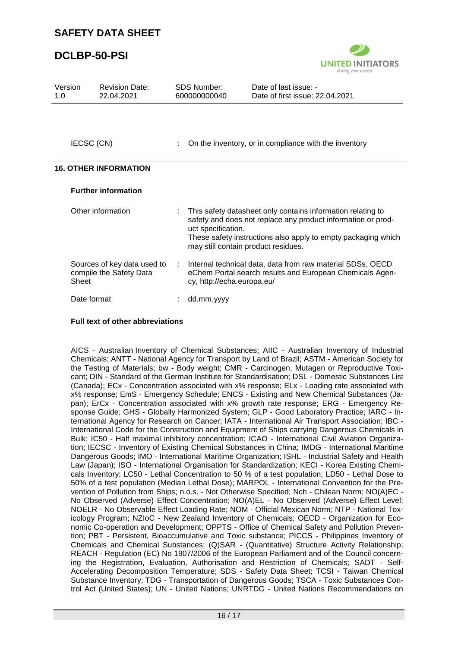### **DCLBP-50-PSI**



| Version<br>1.0 | <b>Revision Date:</b><br>22.04.2021                    |    | <b>SDS Number:</b><br>600000000040                                                                                                                                                                                                                        | Date of last issue: -<br>Date of first issue: 22.04.2021                                                               |  |
|----------------|--------------------------------------------------------|----|-----------------------------------------------------------------------------------------------------------------------------------------------------------------------------------------------------------------------------------------------------------|------------------------------------------------------------------------------------------------------------------------|--|
|                |                                                        |    |                                                                                                                                                                                                                                                           |                                                                                                                        |  |
| IECSC (CN)     |                                                        |    | On the inventory, or in compliance with the inventory                                                                                                                                                                                                     |                                                                                                                        |  |
|                | <b>16. OTHER INFORMATION</b>                           |    |                                                                                                                                                                                                                                                           |                                                                                                                        |  |
|                | <b>Further information</b>                             |    |                                                                                                                                                                                                                                                           |                                                                                                                        |  |
|                | Other information                                      |    | This safety datasheet only contains information relating to<br>safety and does not replace any product information or prod-<br>uct specification.<br>These safety instructions also apply to empty packaging which<br>may still contain product residues. |                                                                                                                        |  |
| Sheet          | Sources of key data used to<br>compile the Safety Data | ÷. | cy, http://echa.europa.eu/                                                                                                                                                                                                                                | Internal technical data, data from raw material SDSs, OECD<br>eChem Portal search results and European Chemicals Agen- |  |
| Date format    |                                                        |    | dd.mm.yyyy                                                                                                                                                                                                                                                |                                                                                                                        |  |

#### **Full text of other abbreviations**

AICS - Australian Inventory of Chemical Substances; AIIC - Australian Inventory of Industrial Chemicals; ANTT - National Agency for Transport by Land of Brazil; ASTM - American Society for the Testing of Materials; bw - Body weight; CMR - Carcinogen, Mutagen or Reproductive Toxicant; DIN - Standard of the German Institute for Standardisation; DSL - Domestic Substances List (Canada); ECx - Concentration associated with x% response; ELx - Loading rate associated with x% response; EmS - Emergency Schedule; ENCS - Existing and New Chemical Substances (Japan); ErCx - Concentration associated with x% growth rate response; ERG - Emergency Response Guide; GHS - Globally Harmonized System; GLP - Good Laboratory Practice; IARC - International Agency for Research on Cancer; IATA - International Air Transport Association; IBC - International Code for the Construction and Equipment of Ships carrying Dangerous Chemicals in Bulk; IC50 - Half maximal inhibitory concentration; ICAO - International Civil Aviation Organization; IECSC - Inventory of Existing Chemical Substances in China; IMDG - International Maritime Dangerous Goods; IMO - International Maritime Organization; ISHL - Industrial Safety and Health Law (Japan); ISO - International Organisation for Standardization; KECI - Korea Existing Chemicals Inventory; LC50 - Lethal Concentration to 50 % of a test population; LD50 - Lethal Dose to 50% of a test population (Median Lethal Dose); MARPOL - International Convention for the Prevention of Pollution from Ships; n.o.s. - Not Otherwise Specified; Nch - Chilean Norm; NO(A)EC - No Observed (Adverse) Effect Concentration; NO(A)EL - No Observed (Adverse) Effect Level; NOELR - No Observable Effect Loading Rate; NOM - Official Mexican Norm; NTP - National Toxicology Program; NZIoC - New Zealand Inventory of Chemicals; OECD - Organization for Economic Co-operation and Development; OPPTS - Office of Chemical Safety and Pollution Prevention; PBT - Persistent, Bioaccumulative and Toxic substance; PICCS - Philippines Inventory of Chemicals and Chemical Substances; (Q)SAR - (Quantitative) Structure Activity Relationship; REACH - Regulation (EC) No 1907/2006 of the European Parliament and of the Council concerning the Registration, Evaluation, Authorisation and Restriction of Chemicals; SADT - Self-Accelerating Decomposition Temperature; SDS - Safety Data Sheet; TCSI - Taiwan Chemical Substance Inventory; TDG - Transportation of Dangerous Goods; TSCA - Toxic Substances Control Act (United States); UN - United Nations; UNRTDG - United Nations Recommendations on